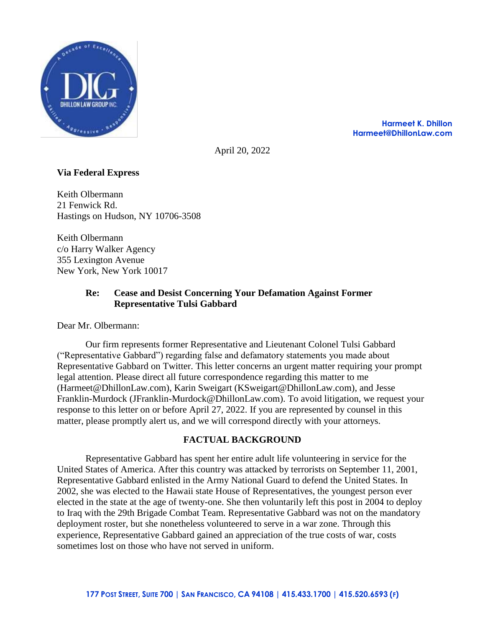

**Harmeet K. Dhillon Harmeet@DhillonLaw.com**

April 20, 2022

# **Via Federal Express**

Keith Olbermann 21 Fenwick Rd. Hastings on Hudson, NY 10706-3508

Keith Olbermann c/o Harry Walker Agency 355 Lexington Avenue New York, New York 10017

# **Re: Cease and Desist Concerning Your Defamation Against Former Representative Tulsi Gabbard**

Dear Mr. Olbermann:

Our firm represents former Representative and Lieutenant Colonel Tulsi Gabbard ("Representative Gabbard") regarding false and defamatory statements you made about Representative Gabbard on Twitter. This letter concerns an urgent matter requiring your prompt legal attention. Please direct all future correspondence regarding this matter to me (Harmeet@DhillonLaw.com), Karin Sweigart (KSweigart@DhillonLaw.com), and Jesse Franklin-Murdock (JFranklin-Murdock@DhillonLaw.com). To avoid litigation, we request your response to this letter on or before April 27, 2022. If you are represented by counsel in this matter, please promptly alert us, and we will correspond directly with your attorneys.

## **FACTUAL BACKGROUND**

Representative Gabbard has spent her entire adult life volunteering in service for the United States of America. After this country was attacked by terrorists on September 11, 2001, Representative Gabbard enlisted in the Army National Guard to defend the United States. In 2002, she was elected to the Hawaii state House of Representatives, the youngest person ever elected in the state at the age of twenty-one. She then voluntarily left this post in 2004 to deploy to Iraq with the 29th Brigade Combat Team. Representative Gabbard was not on the mandatory deployment roster, but she nonetheless volunteered to serve in a war zone. Through this experience, Representative Gabbard gained an appreciation of the true costs of war, costs sometimes lost on those who have not served in uniform.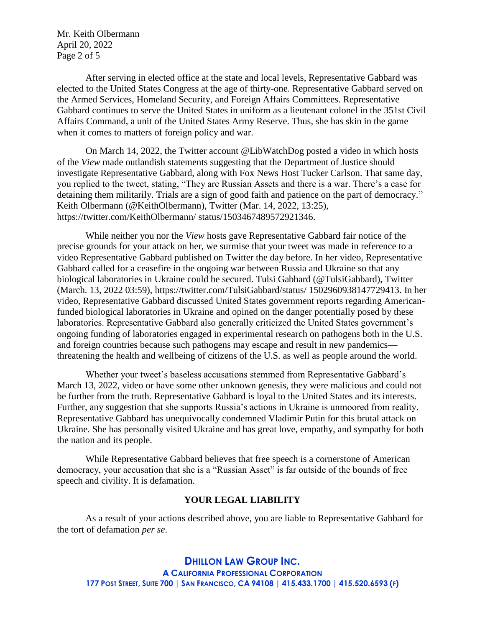Mr. Keith Olbermann April 20, 2022 Page 2 of 5

After serving in elected office at the state and local levels, Representative Gabbard was elected to the United States Congress at the age of thirty-one. Representative Gabbard served on the Armed Services, Homeland Security, and Foreign Affairs Committees. Representative Gabbard continues to serve the United States in uniform as a lieutenant colonel in the 351st Civil Affairs Command, a unit of the United States Army Reserve. Thus, she has skin in the game when it comes to matters of foreign policy and war.

On March 14, 2022, the Twitter account @LibWatchDog posted a video in which hosts of the *View* made outlandish statements suggesting that the Department of Justice should investigate Representative Gabbard, along with Fox News Host Tucker Carlson. That same day, you replied to the tweet, stating, "They are Russian Assets and there is a war. There's a case for detaining them militarily. Trials are a sign of good faith and patience on the part of democracy." Keith Olbermann (@KeithOlbermann), Twitter (Mar. 14, 2022, 13:25), https://twitter.com/KeithOlbermann/ status/1503467489572921346.

While neither you nor the *View* hosts gave Representative Gabbard fair notice of the precise grounds for your attack on her, we surmise that your tweet was made in reference to a video Representative Gabbard published on Twitter the day before. In her video, Representative Gabbard called for a ceasefire in the ongoing war between Russia and Ukraine so that any biological laboratories in Ukraine could be secured. Tulsi Gabbard (@TulsiGabbard), Twitter (March. 13, 2022 03:59), https://twitter.com/TulsiGabbard/status/ 1502960938147729413. In her video, Representative Gabbard discussed United States government reports regarding Americanfunded biological laboratories in Ukraine and opined on the danger potentially posed by these laboratories. Representative Gabbard also generally criticized the United States government's ongoing funding of laboratories engaged in experimental research on pathogens both in the U.S. and foreign countries because such pathogens may escape and result in new pandemics threatening the health and wellbeing of citizens of the U.S. as well as people around the world.

Whether your tweet's baseless accusations stemmed from Representative Gabbard's March 13, 2022, video or have some other unknown genesis, they were malicious and could not be further from the truth. Representative Gabbard is loyal to the United States and its interests. Further, any suggestion that she supports Russia's actions in Ukraine is unmoored from reality. Representative Gabbard has unequivocally condemned Vladimir Putin for this brutal attack on Ukraine. She has personally visited Ukraine and has great love, empathy, and sympathy for both the nation and its people.

While Representative Gabbard believes that free speech is a cornerstone of American democracy, your accusation that she is a "Russian Asset" is far outside of the bounds of free speech and civility. It is defamation.

### **YOUR LEGAL LIABILITY**

As a result of your actions described above, you are liable to Representative Gabbard for the tort of defamation *per se*.

**DHILLON LAW GROUP INC. A CALIFORNIA PROFESSIONAL CORPORATION** 177 POST STREET, SUITE 700 | SAN FRANCISCO, CA 94108 | 415.433.1700 | 415.520.6593 (F)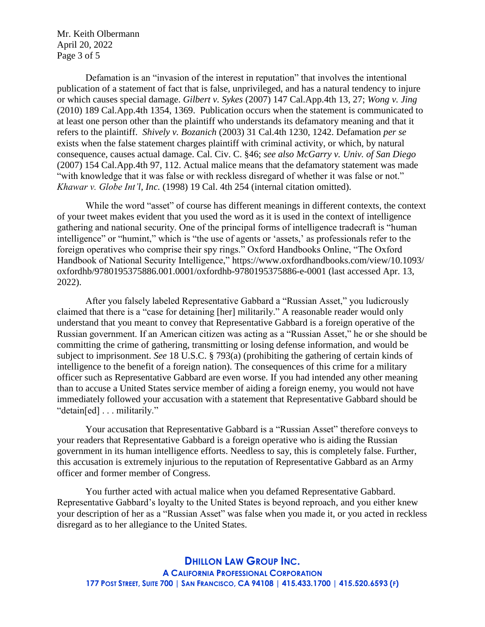Mr. Keith Olbermann April 20, 2022 Page 3 of 5

Defamation is an "invasion of the interest in reputation" that involves the intentional publication of a statement of fact that is false, unprivileged, and has a natural tendency to injure or which causes special damage. *Gilbert v. Sykes* (2007) 147 Cal.App.4th 13, 27; *Wong v. Jing* (2010) 189 Cal.App.4th 1354, 1369. Publication occurs when the statement is communicated to at least one person other than the plaintiff who understands its defamatory meaning and that it refers to the plaintiff. *Shively v. Bozanich* (2003) 31 Cal.4th 1230, 1242. Defamation *per se* exists when the false statement charges plaintiff with criminal activity, or which, by natural consequence, causes actual damage. Cal. Civ. C. §46; *see also McGarry v. Univ. of San Diego* (2007) 154 Cal.App.4th 97, 112. Actual malice means that the defamatory statement was made "with knowledge that it was false or with reckless disregard of whether it was false or not." *Khawar v. Globe Int'l, Inc.* (1998) 19 Cal. 4th 254 (internal citation omitted).

While the word "asset" of course has different meanings in different contexts, the context of your tweet makes evident that you used the word as it is used in the context of intelligence gathering and national security. One of the principal forms of intelligence tradecraft is "human intelligence" or "humint," which is "the use of agents or 'assets,' as professionals refer to the foreign operatives who comprise their spy rings." Oxford Handbooks Online, "The Oxford Handbook of National Security Intelligence," https://www.oxfordhandbooks.com/view/10.1093/ oxfordhb/9780195375886.001.0001/oxfordhb-9780195375886-e-0001 (last accessed Apr. 13, 2022).

After you falsely labeled Representative Gabbard a "Russian Asset," you ludicrously claimed that there is a "case for detaining [her] militarily." A reasonable reader would only understand that you meant to convey that Representative Gabbard is a foreign operative of the Russian government. If an American citizen was acting as a "Russian Asset," he or she should be committing the crime of gathering, transmitting or losing defense information, and would be subject to imprisonment. *See* 18 U.S.C. § 793(a) (prohibiting the gathering of certain kinds of intelligence to the benefit of a foreign nation). The consequences of this crime for a military officer such as Representative Gabbard are even worse. If you had intended any other meaning than to accuse a United States service member of aiding a foreign enemy, you would not have immediately followed your accusation with a statement that Representative Gabbard should be "detain[ed] . . . militarily."

Your accusation that Representative Gabbard is a "Russian Asset" therefore conveys to your readers that Representative Gabbard is a foreign operative who is aiding the Russian government in its human intelligence efforts. Needless to say, this is completely false. Further, this accusation is extremely injurious to the reputation of Representative Gabbard as an Army officer and former member of Congress.

You further acted with actual malice when you defamed Representative Gabbard. Representative Gabbard's loyalty to the United States is beyond reproach, and you either knew your description of her as a "Russian Asset" was false when you made it, or you acted in reckless disregard as to her allegiance to the United States.

**DHILLON LAW GROUP INC. A CALIFORNIA PROFESSIONAL CORPORATION** 177 POST STREET, SUITE 700 | SAN FRANCISCO, CA 94108 | 415.433.1700 | 415.520.6593 (F)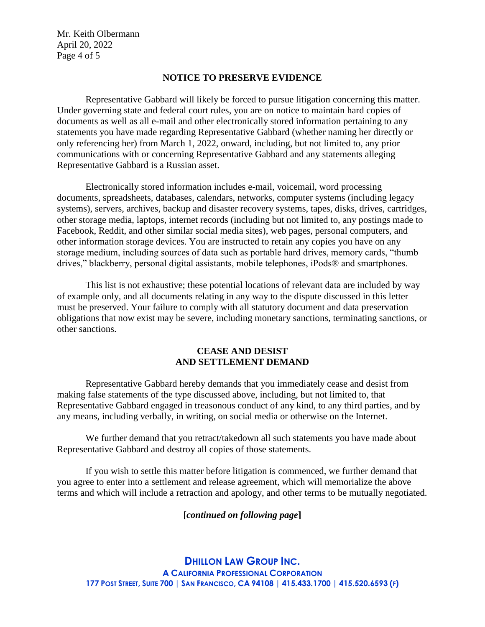Mr. Keith Olbermann April 20, 2022 Page 4 of 5

### **NOTICE TO PRESERVE EVIDENCE**

Representative Gabbard will likely be forced to pursue litigation concerning this matter. Under governing state and federal court rules, you are on notice to maintain hard copies of documents as well as all e-mail and other electronically stored information pertaining to any statements you have made regarding Representative Gabbard (whether naming her directly or only referencing her) from March 1, 2022, onward, including, but not limited to, any prior communications with or concerning Representative Gabbard and any statements alleging Representative Gabbard is a Russian asset.

Electronically stored information includes e-mail, voicemail, word processing documents, spreadsheets, databases, calendars, networks, computer systems (including legacy systems), servers, archives, backup and disaster recovery systems, tapes, disks, drives, cartridges, other storage media, laptops, internet records (including but not limited to, any postings made to Facebook, Reddit, and other similar social media sites), web pages, personal computers, and other information storage devices. You are instructed to retain any copies you have on any storage medium, including sources of data such as portable hard drives, memory cards, "thumb drives," blackberry, personal digital assistants, mobile telephones, iPods® and smartphones.

This list is not exhaustive; these potential locations of relevant data are included by way of example only, and all documents relating in any way to the dispute discussed in this letter must be preserved. Your failure to comply with all statutory document and data preservation obligations that now exist may be severe, including monetary sanctions, terminating sanctions, or other sanctions.

## **CEASE AND DESIST AND SETTLEMENT DEMAND**

Representative Gabbard hereby demands that you immediately cease and desist from making false statements of the type discussed above, including, but not limited to, that Representative Gabbard engaged in treasonous conduct of any kind, to any third parties, and by any means, including verbally, in writing, on social media or otherwise on the Internet.

We further demand that you retract/takedown all such statements you have made about Representative Gabbard and destroy all copies of those statements.

If you wish to settle this matter before litigation is commenced, we further demand that you agree to enter into a settlement and release agreement, which will memorialize the above terms and which will include a retraction and apology, and other terms to be mutually negotiated.

#### **[***continued on following page***]**

**DHILLON LAW GROUP INC. A CALIFORNIA PROFESSIONAL CORPORATION** 177 POST STREET, SUITE 700 | SAN FRANCISCO, CA 94108 | 415.433.1700 | 415.520.6593 (F)